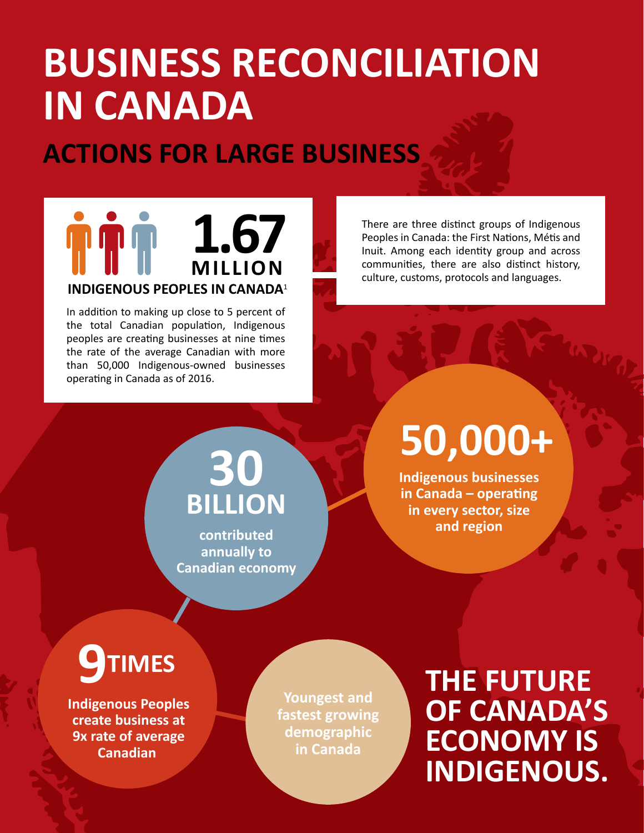# **BUSINESS RECONCILIATION IN CANADA**

## **ACTIONS FOR LARGE BUSINESS**

### **1.67 TOP MILLION INDIGENOUS PEOPLES IN CANADA**1

In addition to making up close to 5 percent of the total Canadian population, Indigenous peoples are creating businesses at nine times the rate of the average Canadian with more than 50,000 Indigenous-owned businesses operating in Canada as of 2016.

There are three distinct groups of Indigenous Peoples in Canada: the First Nations, Métis and Inuit. Among each identity group and across communities, there are also distinct history, culture, customs, protocols and languages.

## **30 BILLION**

**contributed annually to Canadian economy**

# **50,000+**

**Indigenous businesses in Canada – operating in every sector, size and region**

## **IMES**

**Indigenous Peoples create business at 9x rate of average Canadian** 

**Youngest and fastest growing demographic in Canada**

**THE FUTURE OF CANADA'S ECONOMY IS INDIGENOUS.**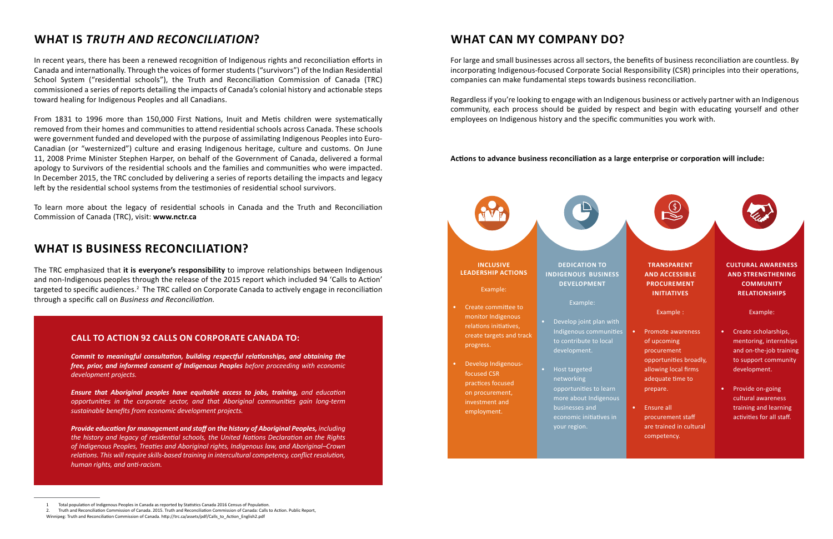### **WHAT CAN MY COMPANY DO?**

For large and small businesses across all sectors, the benefits of business reconciliation are countless. By incorporating Indigenous-focused Corporate Social Responsibility (CSR) principles into their operations, companies can make fundamental steps towards business reconciliation.

Regardless if you're looking to engage with an Indigenous business or actively partner with an Indigenous community, each process should be guided by respect and begin with educating yourself and other employees on Indigenous history and the specific communities you work with.

#### **Actions to advance business reconciliation as a large enterprise or corporation will include:**



#### **WHAT IS BUSINESS RECONCILIATION?**

The TRC emphasized that **it is everyone's responsibility** to improve relationships between Indigenous and non-Indigenous peoples through the release of the 2015 report which included 94 'Calls to Action' targeted to specific audiences.<sup>2</sup> The TRC called on Corporate Canada to actively engage in reconciliation through a specific call on *Business and Reconciliation.*

#### **WHAT IS** *TRUTH AND RECONCILIATION***?**

In recent years, there has been a renewed recognition of Indigenous rights and reconciliation efforts in Canada and internationally. Through the voices of former students ("survivors") of the Indian Residential School System ("residential schools"), the Truth and Reconciliation Commission of Canada (TRC) commissioned a series of reports detailing the impacts of Canada's colonial history and actionable steps toward healing for Indigenous Peoples and all Canadians.

From 1831 to 1996 more than 150,000 First Nations, Inuit and Metis children were systematically removed from their homes and communities to attend residential schools across Canada. These schools were government funded and developed with the purpose of assimilating Indigenous Peoples into Euro-Canadian (or "westernized") culture and erasing Indigenous heritage, culture and customs. On June 11, 2008 Prime Minister Stephen Harper, on behalf of the Government of Canada, delivered a formal apology to Survivors of the residential schools and the families and communities who were impacted. In December 2015, the TRC concluded by delivering a series of reports detailing the impacts and legacy left by the residential school systems from the testimonies of residential school survivors.

To learn more about the legacy of residential schools in Canada and the Truth and Reconciliation Commission of Canada (TRC), visit: **www.nctr.ca**

#### **CALL TO ACTION 92 CALLS ON CORPORATE CANADA TO:**

*Commit to meaningful consultation, building respectful relationships, and obtaining the free, prior, and informed consent of Indigenous Peoples before proceeding with economic development projects.* 

*Ensure that Aboriginal peoples have equitable access to jobs, training, and education opportunities in the corporate sector, and that Aboriginal communities gain long-term sustainable benefits from economic development projects.*

*Provide education for management and staff on the history of Aboriginal Peoples, including the history and legacy of residential schools, the United Nations Declaration on the Rights of Indigenous Peoples, Treaties and Aboriginal rights, Indigenous law, and Aboriginal–Crown relations. This will require skills-based training in intercultural competency, conflict resolution, human rights, and anti-racism.*

<sup>1</sup> Total population of Indigenous Peoples in Canada as reported by Statistics Canada 2016 Census of Population.

<sup>2.</sup> Truth and Reconciliation Commission of Canada. 2015. Truth and Reconciliation Commission of Canada: Calls to Action. Public Report,

Winnipeg: Truth and Reconciliation Commission of Canada. http://trc.ca/assets/pdf/Calls\_to\_Action\_English2.pdf